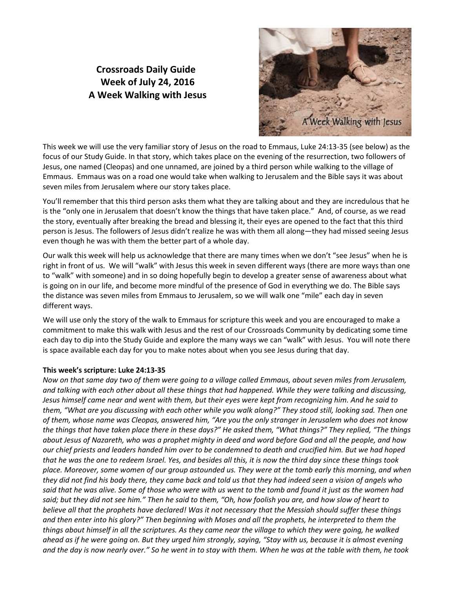# **Crossroads Daily Guide Week of July 24, 2016 A Week Walking with Jesus**



This week we will use the very familiar story of Jesus on the road to Emmaus, Luke 24:13-35 (see below) as the focus of our Study Guide. In that story, which takes place on the evening of the resurrection, two followers of Jesus, one named (Cleopas) and one unnamed, are joined by a third person while walking to the village of Emmaus. Emmaus was on a road one would take when walking to Jerusalem and the Bible says it was about seven miles from Jerusalem where our story takes place.

You'll remember that this third person asks them what they are talking about and they are incredulous that he is the "only one in Jerusalem that doesn't know the things that have taken place." And, of course, as we read the story, eventually after breaking the bread and blessing it, their eyes are opened to the fact that this third person is Jesus. The followers of Jesus didn't realize he was with them all along—they had missed seeing Jesus even though he was with them the better part of a whole day.

Our walk this week will help us acknowledge that there are many times when we don't "see Jesus" when he is right in front of us. We will "walk" with Jesus this week in seven different ways (there are more ways than one to "walk" with someone) and in so doing hopefully begin to develop a greater sense of awareness about what is going on in our life, and become more mindful of the presence of God in everything we do. The Bible says the distance was seven miles from Emmaus to Jerusalem, so we will walk one "mile" each day in seven different ways.

We will use only the story of the walk to Emmaus for scripture this week and you are encouraged to make a commitment to make this walk with Jesus and the rest of our Crossroads Community by dedicating some time each day to dip into the Study Guide and explore the many ways we can "walk" with Jesus. You will note there is space available each day for you to make notes about when you see Jesus during that day.

## **This week's scripture: Luke 24:13-35**

*Now on that same day two of them were going to a village called Emmaus, about seven miles from Jerusalem, and talking with each other about all these things that had happened. While they were talking and discussing, Jesus himself came near and went with them, but their eyes were kept from recognizing him. And he said to them, "What are you discussing with each other while you walk along?" They stood still, looking sad. Then one of them, whose name was Cleopas, answered him, "Are you the only stranger in Jerusalem who does not know the things that have taken place there in these days?" He asked them, "What things?" They replied, "The things about Jesus of Nazareth, who was a prophet mighty in deed and word before God and all the people, and how our chief priests and leaders handed him over to be condemned to death and crucified him. But we had hoped that he was the one to redeem Israel. Yes, and besides all this, it is now the third day since these things took place. Moreover, some women of our group astounded us. They were at the tomb early this morning, and when they did not find his body there, they came back and told us that they had indeed seen a vision of angels who said that he was alive. Some of those who were with us went to the tomb and found it just as the women had said; but they did not see him." Then he said to them, "Oh, how foolish you are, and how slow of heart to believe all that the prophets have declared! Was it not necessary that the Messiah should suffer these things and then enter into his glory?" Then beginning with Moses and all the prophets, he interpreted to them the things about himself in all the scriptures. As they came near the village to which they were going, he walked ahead as if he were going on. But they urged him strongly, saying, "Stay with us, because it is almost evening and the day is now nearly over." So he went in to stay with them. When he was at the table with them, he took*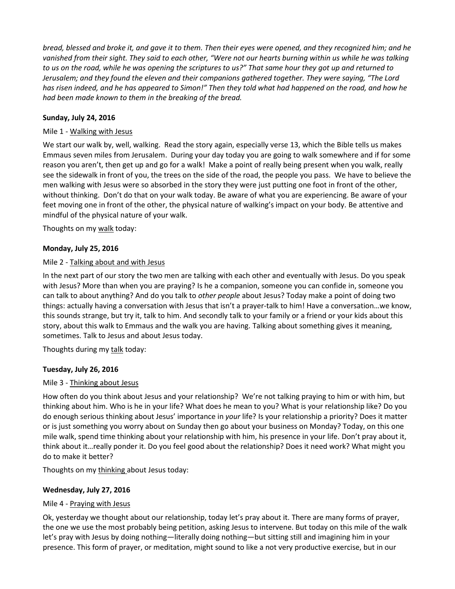*bread, blessed and broke it, and gave it to them. Then their eyes were opened, and they recognized him; and he vanished from their sight. They said to each other, "Were not our hearts burning within us while he was talking to us on the road, while he was opening the scriptures to us?" That same hour they got up and returned to Jerusalem; and they found the eleven and their companions gathered together. They were saying, "The Lord has risen indeed, and he has appeared to Simon!" Then they told what had happened on the road, and how he had been made known to them in the breaking of the bread.*

# **Sunday, July 24, 2016**

## Mile 1 - Walking with Jesus

We start our walk by, well, walking. Read the story again, especially verse 13, which the Bible tells us makes Emmaus seven miles from Jerusalem. During your day today you are going to walk somewhere and if for some reason you aren't, then get up and go for a walk! Make a point of really being present when you walk, really see the sidewalk in front of you, the trees on the side of the road, the people you pass. We have to believe the men walking with Jesus were so absorbed in the story they were just putting one foot in front of the other, without thinking. Don't do that on your walk today. Be aware of what you are experiencing. Be aware of your feet moving one in front of the other, the physical nature of walking's impact on your body. Be attentive and mindful of the physical nature of your walk.

Thoughts on my walk today:

#### **Monday, July 25, 2016**

#### Mile 2 - Talking about and with Jesus

In the next part of our story the two men are talking with each other and eventually with Jesus. Do you speak with Jesus? More than when you are praying? Is he a companion, someone you can confide in, someone you can talk to about anything? And do you talk to *other people* about Jesus? Today make a point of doing two things: actually having a conversation with Jesus that isn't a prayer-talk to him! Have a conversation…we know, this sounds strange, but try it, talk to him. And secondly talk to your family or a friend or your kids about this story, about this walk to Emmaus and the walk you are having. Talking about something gives it meaning, sometimes. Talk to Jesus and about Jesus today.

Thoughts during my talk today:

## **Tuesday, July 26, 2016**

## Mile 3 - Thinking about Jesus

How often do you think about Jesus and your relationship? We're not talking praying to him or with him, but thinking about him. Who is he in your life? What does he mean to you? What is your relationship like? Do you do enough serious thinking about Jesus' importance in *your* life? Is your relationship a priority? Does it matter or is just something you worry about on Sunday then go about your business on Monday? Today, on this one mile walk, spend time thinking about your relationship with him, his presence in your life. Don't pray about it, think about it…really ponder it. Do you feel good about the relationship? Does it need work? What might you do to make it better?

Thoughts on my thinking about Jesus today:

## **Wednesday, July 27, 2016**

## Mile 4 - Praying with Jesus

Ok, yesterday we thought about our relationship, today let's pray about it. There are many forms of prayer, the one we use the most probably being petition, asking Jesus to intervene. But today on this mile of the walk let's pray with Jesus by doing nothing—literally doing nothing—but sitting still and imagining him in your presence. This form of prayer, or meditation, might sound to like a not very productive exercise, but in our